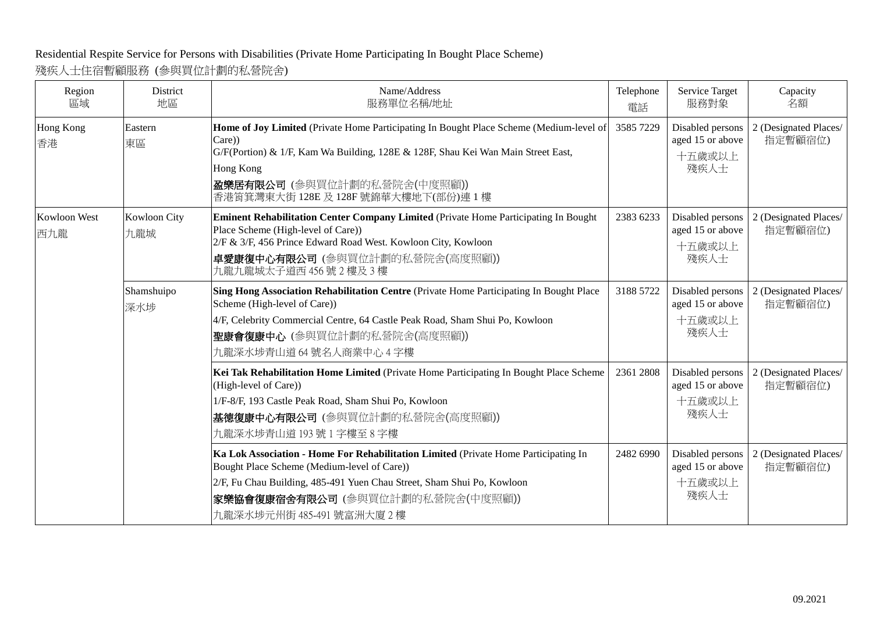## Residential Respite Service for Persons with Disabilities (Private Home Participating In Bought Place Scheme)

## 殘疾人士住宿暫顧服務 (參與買位計劃的私營院舍)

| Region<br>區域        | District<br>地區      | Name/Address<br>服務單位名稱/地址                                                                                                                                                                                                                                                      | Telephone<br>電話 | Service Target<br>服務對象                                 | Capacity<br>名額                   |
|---------------------|---------------------|--------------------------------------------------------------------------------------------------------------------------------------------------------------------------------------------------------------------------------------------------------------------------------|-----------------|--------------------------------------------------------|----------------------------------|
| Hong Kong<br>香港     | Eastern<br>東區       | Home of Joy Limited (Private Home Participating In Bought Place Scheme (Medium-level of<br>Care))<br>G/F(Portion) & 1/F, Kam Wa Building, 128E & 128F, Shau Kei Wan Main Street East,<br>Hong Kong<br>盈樂居有限公司 (參與買位計劃的私營院舍(中度照顧))<br>香港筲箕灣東大街 128E 及 128F 號錦華大樓地下(部份)連 1 樓     | 3585 7229       | Disabled persons<br>aged 15 or above<br>十五歲或以上<br>殘疾人士 | 2 (Designated Places/<br>指定暫顧宿位) |
| Kowloon West<br>西九龍 | Kowloon City<br>九龍城 | <b>Eminent Rehabilitation Center Company Limited (Private Home Participating In Bought</b><br>Place Scheme (High-level of Care))<br>2/F & 3/F, 456 Prince Edward Road West. Kowloon City, Kowloon<br>卓愛康復中心有限公司(參與買位計劃的私營院舍(高度照顧))<br>九龍九龍城太子道西 456號 2樓及 3樓                    | 2383 6233       | Disabled persons<br>aged 15 or above<br>十五歲或以上<br>殘疾人士 | 2 (Designated Places/<br>指定暫顧宿位) |
|                     | Shamshuipo<br>深水埗   | Sing Hong Association Rehabilitation Centre (Private Home Participating In Bought Place<br>Scheme (High-level of Care))<br>4/F, Celebrity Commercial Centre, 64 Castle Peak Road, Sham Shui Po, Kowloon<br> 聖康會復康中心 (參與買位計劃的私營院舍(高度照顧))<br>九龍深水埗青山道 64號名人商業中心 4字樓              | 3188 5722       | Disabled persons<br>aged 15 or above<br>十五歲或以上<br>殘疾人士 | 2 (Designated Places/<br>指定暫顧宿位) |
|                     |                     | Kei Tak Rehabilitation Home Limited (Private Home Participating In Bought Place Scheme<br>(High-level of Care))<br>1/F-8/F, 193 Castle Peak Road, Sham Shui Po, Kowloon<br>基德復康中心有限公司 (參與買位計劃的私營院舍(高度照顧))<br>九龍深水埗青山道193號1字樓至8字樓                                               | 2361 2808       | Disabled persons<br>aged 15 or above<br>十五歲或以上<br>殘疾人士 | 2 (Designated Places/<br>指定暫顧宿位) |
|                     |                     | Ka Lok Association - Home For Rehabilitation Limited (Private Home Participating In<br>Bought Place Scheme (Medium-level of Care))<br>2/F, Fu Chau Building, 485-491 Yuen Chau Street, Sham Shui Po, Kowloon<br>家樂協會復康宿舍有限公司 (參與買位計劃的私營院舍(中度照顧))<br>九龍深水埗元州街 485-491 號富洲大廈 2 樓 | 2482 6990       | Disabled persons<br>aged 15 or above<br>十五歲或以上<br>殘疾人士 | 2 (Designated Places/<br>指定暫顧宿位) |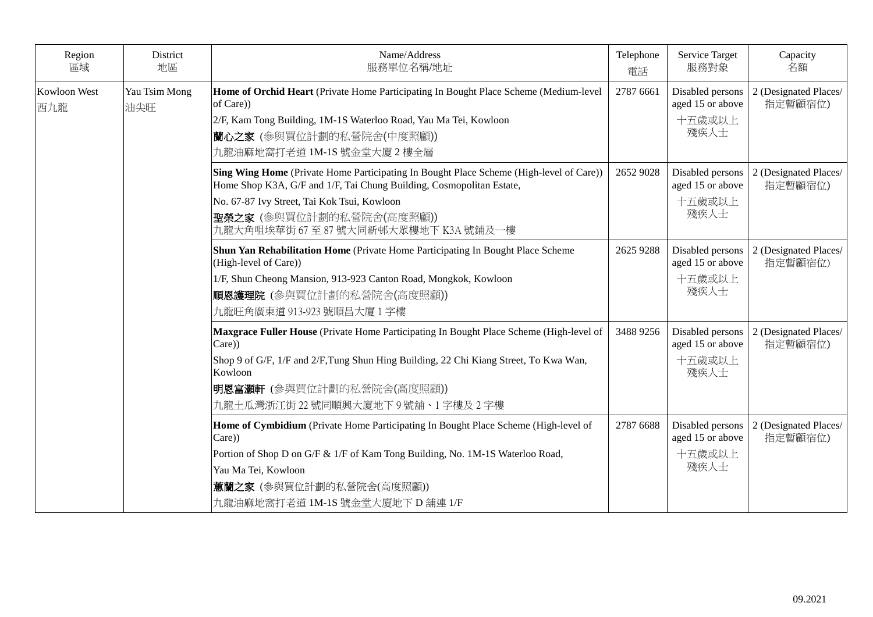| Region<br>區域        | District<br>地區       | Name/Address<br>服務單位名稱/地址                                                                                                                                                                                                                                                           | Telephone<br>電話 | Service Target<br>服務對象                                 | Capacity<br>名額                   |
|---------------------|----------------------|-------------------------------------------------------------------------------------------------------------------------------------------------------------------------------------------------------------------------------------------------------------------------------------|-----------------|--------------------------------------------------------|----------------------------------|
| Kowloon West<br>西九龍 | Yau Tsim Mong<br>油尖旺 | Home of Orchid Heart (Private Home Participating In Bought Place Scheme (Medium-level<br>of Care))<br>2/F, Kam Tong Building, 1M-1S Waterloo Road, Yau Ma Tei, Kowloon<br>蘭心之家(參與買位計劃的私營院舍(中度照顧))<br>九龍油麻地窩打老道 1M-1S 號金堂大廈 2 樓全層                                                    | 2787 6661       | Disabled persons<br>aged 15 or above<br>十五歲或以上<br>殘疾人士 | 2 (Designated Places/<br>指定暫顧宿位) |
|                     |                      | Sing Wing Home (Private Home Participating In Bought Place Scheme (High-level of Care))<br>Home Shop K3A, G/F and 1/F, Tai Chung Building, Cosmopolitan Estate,<br>No. 67-87 Ivy Street, Tai Kok Tsui, Kowloon<br>聖榮之家 (參與買位計劃的私營院舍(高度照顧))<br>九龍大角咀埃華街 67 至 87 號大同新邨大眾樓地下 K3A 號鋪及一樓 | 2652 9028       | Disabled persons<br>aged 15 or above<br>十五歲或以上<br>殘疾人士 | 2 (Designated Places/<br>指定暫顧宿位) |
|                     |                      | Shun Yan Rehabilitation Home (Private Home Participating In Bought Place Scheme<br>(High-level of Care))<br>1/F, Shun Cheong Mansion, 913-923 Canton Road, Mongkok, Kowloon<br>順恩護理院 (參與買位計劃的私營院舍(高度照顧))<br>九龍旺角廣東道 913-923 號順昌大廈 1 字樓                                              | 2625 9288       | Disabled persons<br>aged 15 or above<br>十五歲或以上<br>殘疾人士 | 2 (Designated Places/<br>指定暫顧宿位) |
|                     |                      | Maxgrace Fuller House (Private Home Participating In Bought Place Scheme (High-level of<br>Care))<br>Shop 9 of G/F, 1/F and 2/F, Tung Shun Hing Building, 22 Chi Kiang Street, To Kwa Wan,<br>Kowloon<br>明恩富灝軒 (參與買位計劃的私營院舍(高度照顧))<br>九龍土瓜灣浙江街 22 號同順興大廈地下 9 號舖、1 字樓及 2 字樓          | 3488 9256       | Disabled persons<br>aged 15 or above<br>十五歲或以上<br>殘疾人士 | 2 (Designated Places/<br>指定暫顧宿位) |
|                     |                      | Home of Cymbidium (Private Home Participating In Bought Place Scheme (High-level of<br>Care))<br>Portion of Shop D on G/F & 1/F of Kam Tong Building, No. 1M-1S Waterloo Road,<br>Yau Ma Tei, Kowloon<br>意蘭之家 (參與買位計劃的私營院舍(高度照顧))<br>九龍油麻地窩打老道 1M-1S 號金堂大廈地下 D 舖連 1/F               | 2787 6688       | Disabled persons<br>aged 15 or above<br>十五歲或以上<br>殘疾人士 | 2 (Designated Places/<br>指定暫顧宿位) |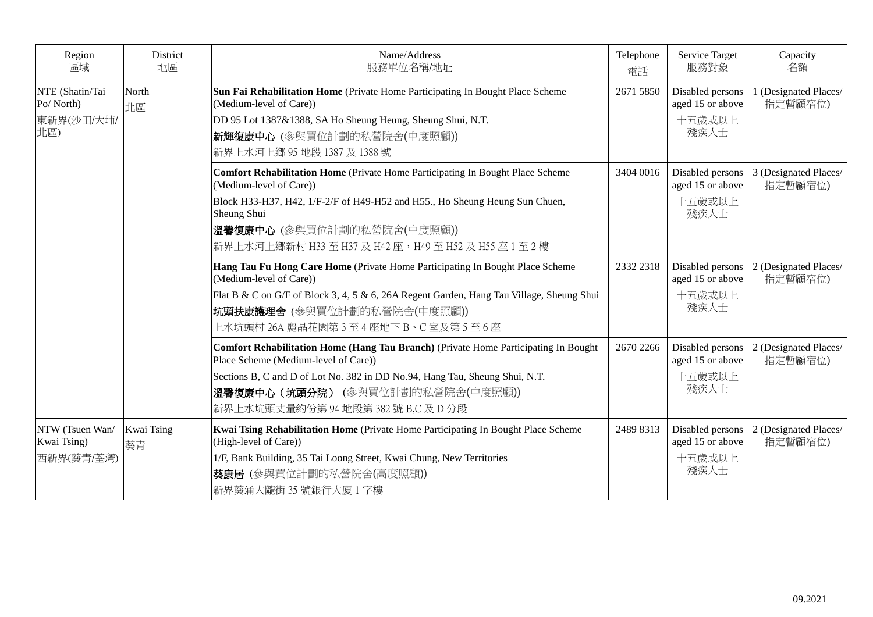| Region<br>區域                                      | District<br>地區   | Name/Address<br>服務單位名稱/地址                                                                                                                                                                                                                                                                      | Telephone<br>電話 | Service Target<br>服務對象                                 | Capacity<br>名額                   |
|---------------------------------------------------|------------------|------------------------------------------------------------------------------------------------------------------------------------------------------------------------------------------------------------------------------------------------------------------------------------------------|-----------------|--------------------------------------------------------|----------------------------------|
| NTE (Shatin/Tai<br>Po/North)<br>東新界(沙田/大埔/<br>北區) | North<br>北區      | Sun Fai Rehabilitation Home (Private Home Participating In Bought Place Scheme<br>(Medium-level of Care))<br>DD 95 Lot 1387&1388, SA Ho Sheung Heung, Sheung Shui, N.T.<br>新輝復康中心 (參與買位計劃的私營院舍(中度照顧))<br>新界上水河上鄉 95 地段 1387 及 1388 號                                                           | 2671 5850       | Disabled persons<br>aged 15 or above<br>十五歲或以上<br>殘疾人士 | 1 (Designated Places/<br>指定暫顧宿位) |
|                                                   |                  | Comfort Rehabilitation Home (Private Home Participating In Bought Place Scheme<br>(Medium-level of Care))<br>Block H33-H37, H42, 1/F-2/F of H49-H52 and H55., Ho Sheung Heung Sun Chuen,<br>Sheung Shui<br>溫馨復康中心 (參與買位計劃的私營院舍(中度照顧))<br>新界上水河上鄉新村 H33 至 H37 及 H42 座,H49 至 H52 及 H55 座 1 至 2 樓 | 3404 0016       | Disabled persons<br>aged 15 or above<br>十五歲或以上<br>殘疾人士 | 3 (Designated Places/<br>指定暫顧宿位) |
|                                                   |                  | Hang Tau Fu Hong Care Home (Private Home Participating In Bought Place Scheme<br>(Medium-level of Care))<br>Flat B & C on G/F of Block 3, 4, 5 & 6, 26A Regent Garden, Hang Tau Village, Sheung Shui<br>坑頭扶康護理舍 (參與買位計劃的私營院舍(中度照顧))<br>上水坑頭村 26A 麗晶花園第 3 至 4 座地下 B、C 室及第 5 至 6 座               | 2332 2318       | Disabled persons<br>aged 15 or above<br>十五歲或以上<br>殘疾人士 | 2 (Designated Places/<br>指定暫顧宿位) |
|                                                   |                  | Comfort Rehabilitation Home (Hang Tau Branch) (Private Home Participating In Bought<br>Place Scheme (Medium-level of Care))<br>Sections B, C and D of Lot No. 382 in DD No.94, Hang Tau, Sheung Shui, N.T.<br>溫馨復康中心(坑頭分院) (參與買位計劃的私營院舍(中度照顧))<br>新界上水坑頭丈量約份第94地段第382號 B,C 及 D 分段              | 2670 2266       | Disabled persons<br>aged 15 or above<br>十五歲或以上<br>殘疾人士 | 2 (Designated Places/<br>指定暫顧宿位) |
| NTW (Tsuen Wan/<br>Kwai Tsing)<br>西新界(葵青/荃灣)      | Kwai Tsing<br>葵青 | Kwai Tsing Rehabilitation Home (Private Home Participating In Bought Place Scheme<br>(High-level of Care))<br>1/F, Bank Building, 35 Tai Loong Street, Kwai Chung, New Territories<br> 葵康居 (參與買位計劃的私營院舍(高度照顧))<br>新界葵涌大隴街 35 號銀行大廈 1 字樓                                                        | 2489 8313       | Disabled persons<br>aged 15 or above<br>十五歲或以上<br>殘疾人士 | 2 (Designated Places/<br>指定暫顧宿位) |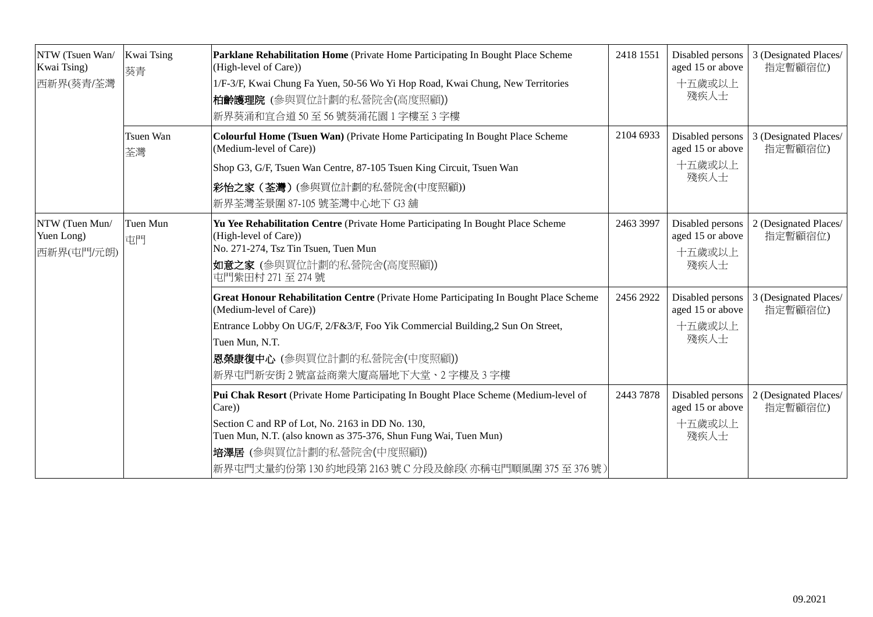| NTW (Tsuen Wan/<br>Kwai Tsing)<br>西新界(葵青/荃灣 | Kwai Tsing<br>葵青 | Parklane Rehabilitation Home (Private Home Participating In Bought Place Scheme<br>(High-level of Care))<br>1/F-3/F, Kwai Chung Fa Yuen, 50-56 Wo Yi Hop Road, Kwai Chung, New Territories<br>柏龄護理院 (參與買位計劃的私營院舍(高度照顧))<br>新界葵涌和宜合道50至56號葵涌花園1字樓至3字樓                                                  | 2418 1551 | Disabled persons<br>aged 15 or above<br>十五歲或以上<br>殘疾人士 | 3 (Designated Places/<br>指定暫顧宿位) |
|---------------------------------------------|------------------|-------------------------------------------------------------------------------------------------------------------------------------------------------------------------------------------------------------------------------------------------------------------------------------------------------|-----------|--------------------------------------------------------|----------------------------------|
|                                             | Tsuen Wan<br>荃灣  | Colourful Home (Tsuen Wan) (Private Home Participating In Bought Place Scheme<br>(Medium-level of Care))<br>Shop G3, G/F, Tsuen Wan Centre, 87-105 Tsuen King Circuit, Tsuen Wan<br>彩怡之家(荃灣)(參與買位計劃的私營院舍(中度照顧))<br>新界荃灣荃景圍 87-105 號荃灣中心地下 G3 舖                                                        | 2104 6933 | Disabled persons<br>aged 15 or above<br>十五歲或以上<br>殘疾人士 | 3 (Designated Places/<br>指定暫顧宿位) |
| NTW (Tuen Mun/<br>Yuen Long)<br>西新界(屯門/元朗)  | Tuen Mun<br>屯門   | Yu Yee Rehabilitation Centre (Private Home Participating In Bought Place Scheme<br>(High-level of Care))<br>No. 271-274, Tsz Tin Tsuen, Tuen Mun<br>如意之家(參與買位計劃的私營院舍(高度照顧))<br>屯門紫田村 271至 274號                                                                                                        | 2463 3997 | Disabled persons<br>aged 15 or above<br>十五歲或以上<br>殘疾人士 | 2 (Designated Places/<br>指定暫顧宿位) |
|                                             |                  | Great Honour Rehabilitation Centre (Private Home Participating In Bought Place Scheme<br>(Medium-level of Care))<br>Entrance Lobby On UG/F, 2/F&3/F, Foo Yik Commercial Building, 2 Sun On Street,<br>Tuen Mun, N.T.<br>恩榮康復中心 (參與買位計劃的私營院舍(中度照顧))<br>新界屯門新安街2號富益商業大廈高層地下大堂、2字樓及3字樓                   | 2456 2922 | Disabled persons<br>aged 15 or above<br>十五歲或以上<br>殘疾人士 | 3 (Designated Places/<br>指定暫顧宿位) |
|                                             |                  | Pui Chak Resort (Private Home Participating In Bought Place Scheme (Medium-level of<br>Care))<br>Section C and RP of Lot, No. 2163 in DD No. 130,<br>Tuen Mun, N.T. (also known as 375-376, Shun Fung Wai, Tuen Mun)<br>培澤居 (參與買位計劃的私營院舍(中度照顧))<br>新界屯門丈量約份第130 約地段第2163 號 C 分段及餘段(亦稱屯門順風圍375 至376 號) | 2443 7878 | Disabled persons<br>aged 15 or above<br>十五歲或以上<br>殘疾人士 | 2 (Designated Places/<br>指定暫顧宿位) |